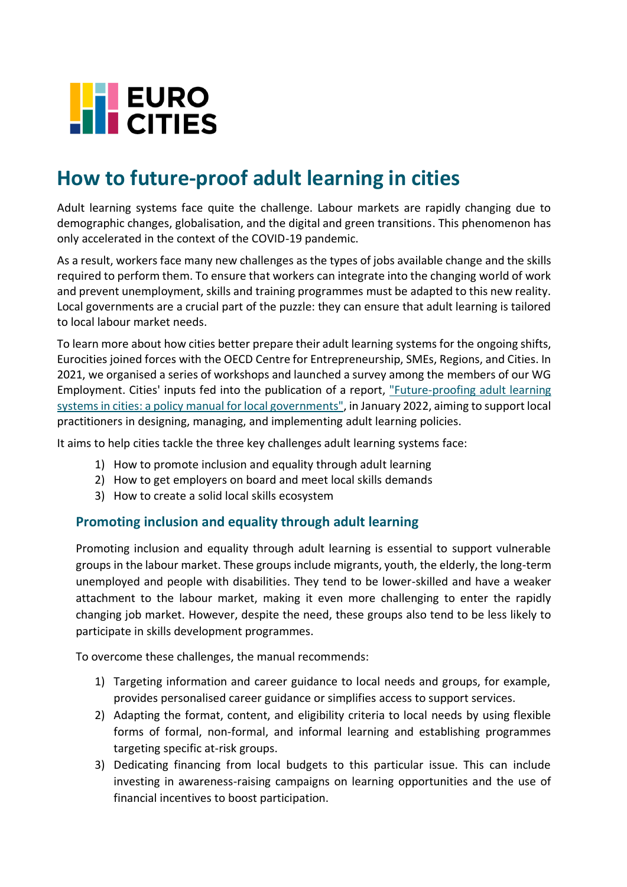

## **How to future-proof adult learning in cities**

Adult learning systems face quite the challenge. Labour markets are rapidly changing due to demographic changes, globalisation, and the digital and green transitions. This phenomenon has only accelerated in the context of the COVID-19 pandemic.

As a result, workers face many new challenges as the types of jobs available change and the skills required to perform them. To ensure that workers can integrate into the changing world of work and prevent unemployment, skills and training programmes must be adapted to this new reality. Local governments are a crucial part of the puzzle: they can ensure that adult learning is tailored to local labour market needs.

To learn more about how cities better prepare their adult learning systems for the ongoing shifts, Eurocities joined forces with the OECD Centre for Entrepreneurship, SMEs, Regions, and Cities. In 2021, we organised a series of workshops and launched a survey among the members of our WG Employment. Cities' inputs fed into the publication of a report, ["Future-proofing adult learning](https://www.oecd-ilibrary.org/employment/future-proofing-adult-learning-systems-in-cities-and-regions_11fa26cc-en)  [systems in cities: a policy manual for local governments",](https://www.oecd-ilibrary.org/employment/future-proofing-adult-learning-systems-in-cities-and-regions_11fa26cc-en) in January 2022, aiming to support local practitioners in designing, managing, and implementing adult learning policies.

It aims to help cities tackle the three key challenges adult learning systems face:

- 1) How to promote inclusion and equality through adult learning
- 2) How to get employers on board and meet local skills demands
- 3) How to create a solid local skills ecosystem

## **Promoting inclusion and equality through adult learning**

Promoting inclusion and equality through adult learning is essential to support vulnerable groups in the labour market. These groups include migrants, youth, the elderly, the long-term unemployed and people with disabilities. They tend to be lower-skilled and have a weaker attachment to the labour market, making it even more challenging to enter the rapidly changing job market. However, despite the need, these groups also tend to be less likely to participate in skills development programmes.

To overcome these challenges, the manual recommends:

- 1) Targeting information and career guidance to local needs and groups, for example, provides personalised career guidance or simplifies access to support services.
- 2) Adapting the format, content, and eligibility criteria to local needs by using flexible forms of formal, non-formal, and informal learning and establishing programmes targeting specific at-risk groups.
- 3) Dedicating financing from local budgets to this particular issue. This can include investing in awareness-raising campaigns on learning opportunities and the use of financial incentives to boost participation.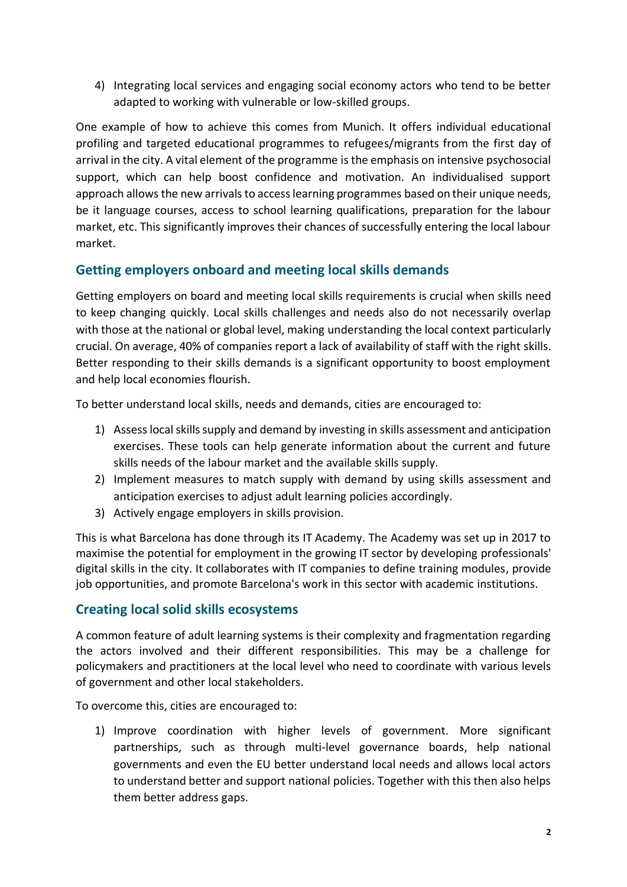4) Integrating local services and engaging social economy actors who tend to be better adapted to working with vulnerable or low-skilled groups.

One example of how to achieve this comes from Munich. It offers individual educational profiling and targeted educational programmes to refugees/migrants from the first day of arrival in the city. A vital element of the programme is the emphasis on intensive psychosocial support, which can help boost confidence and motivation. An individualised support approach allows the new arrivals to access learning programmes based on their unique needs, be it language courses, access to school learning qualifications, preparation for the labour market, etc. This significantly improves their chances of successfully entering the local labour market.

## **Getting employers onboard and meeting local skills demands**

Getting employers on board and meeting local skills requirements is crucial when skills need to keep changing quickly. Local skills challenges and needs also do not necessarily overlap with those at the national or global level, making understanding the local context particularly crucial. On average, 40% of companies report a lack of availability of staff with the right skills. Better responding to their skills demands is a significant opportunity to boost employment and help local economies flourish.

To better understand local skills, needs and demands, cities are encouraged to:

- 1) Assess local skills supply and demand by investing in skills assessment and anticipation exercises. These tools can help generate information about the current and future skills needs of the labour market and the available skills supply.
- 2) Implement measures to match supply with demand by using skills assessment and anticipation exercises to adjust adult learning policies accordingly.
- 3) Actively engage employers in skills provision.

This is what Barcelona has done through its IT Academy. The Academy was set up in 2017 to maximise the potential for employment in the growing IT sector by developing professionals' digital skills in the city. It collaborates with IT companies to define training modules, provide job opportunities, and promote Barcelona's work in this sector with academic institutions.

## **Creating local solid skills ecosystems**

A common feature of adult learning systems is their complexity and fragmentation regarding the actors involved and their different responsibilities. This may be a challenge for policymakers and practitioners at the local level who need to coordinate with various levels of government and other local stakeholders.

To overcome this, cities are encouraged to:

1) Improve coordination with higher levels of government. More significant partnerships, such as through multi-level governance boards, help national governments and even the EU better understand local needs and allows local actors to understand better and support national policies. Together with this then also helps them better address gaps.